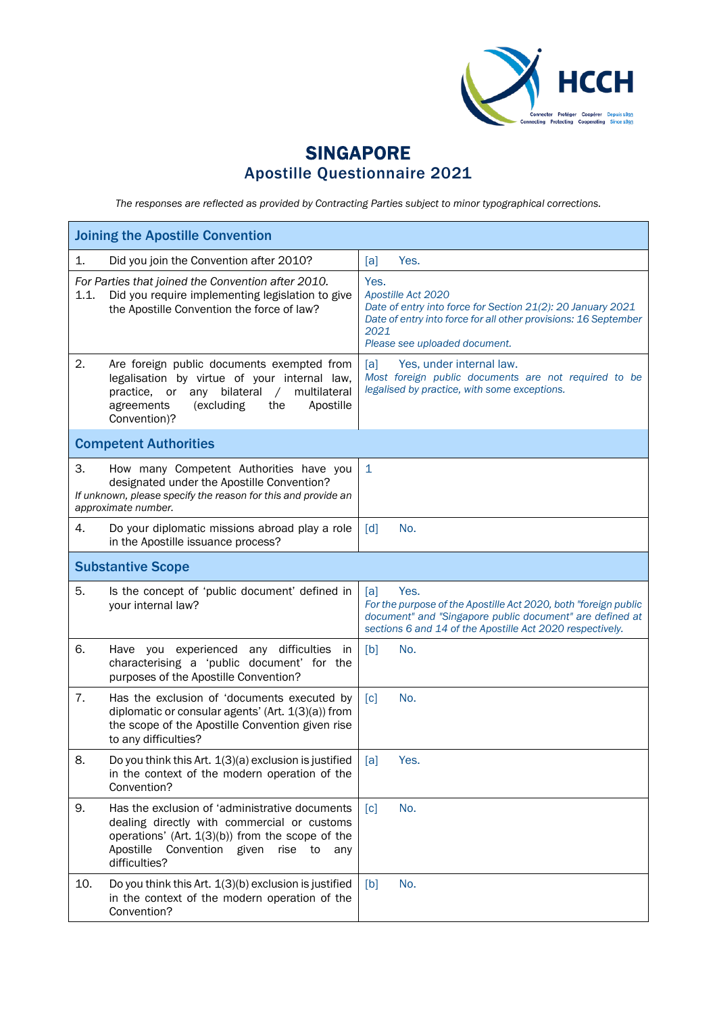

# SINGAPORE Apostille Questionnaire 2021

*The responses are reflected as provided by Contracting Parties subject to minor typographical corrections.*

| <b>Joining the Apostille Convention</b>                                                                                                                                                                                            |                                                                                                                                                                                                         |  |  |
|------------------------------------------------------------------------------------------------------------------------------------------------------------------------------------------------------------------------------------|---------------------------------------------------------------------------------------------------------------------------------------------------------------------------------------------------------|--|--|
| Did you join the Convention after 2010?<br>1.                                                                                                                                                                                      | [a]<br>Yes.                                                                                                                                                                                             |  |  |
| For Parties that joined the Convention after 2010.<br>1.1.<br>Did you require implementing legislation to give<br>the Apostille Convention the force of law?                                                                       | Yes.<br>Apostille Act 2020<br>Date of entry into force for Section 21(2): 20 January 2021<br>Date of entry into force for all other provisions: 16 September<br>2021<br>Please see uploaded document.   |  |  |
| 2.<br>Are foreign public documents exempted from<br>legalisation by virtue of your internal law,<br>bilateral<br>multilateral<br>practice, or<br>any<br>$\sqrt{2}$<br>agreements<br>(excluding<br>the<br>Apostille<br>Convention)? | Yes, under internal law.<br>[a]<br>Most foreign public documents are not required to be<br>legalised by practice, with some exceptions.                                                                 |  |  |
| <b>Competent Authorities</b>                                                                                                                                                                                                       |                                                                                                                                                                                                         |  |  |
| 3.<br>How many Competent Authorities have you<br>designated under the Apostille Convention?<br>If unknown, please specify the reason for this and provide an<br>approximate number.                                                | $\mathbf{1}$                                                                                                                                                                                            |  |  |
| 4.<br>Do your diplomatic missions abroad play a role<br>in the Apostille issuance process?                                                                                                                                         | $\lceil d \rceil$<br>No.                                                                                                                                                                                |  |  |
| <b>Substantive Scope</b>                                                                                                                                                                                                           |                                                                                                                                                                                                         |  |  |
| 5.<br>Is the concept of 'public document' defined in<br>your internal law?                                                                                                                                                         | Yes.<br>[a]<br>For the purpose of the Apostille Act 2020, both "foreign public<br>document" and "Singapore public document" are defined at<br>sections 6 and 14 of the Apostille Act 2020 respectively. |  |  |
| 6.<br>Have you experienced any difficulties<br>in<br>characterising a 'public document' for the<br>purposes of the Apostille Convention?                                                                                           | No.<br>[b]                                                                                                                                                                                              |  |  |
| 7.<br>Has the exclusion of 'documents executed by<br>diplomatic or consular agents' (Art. 1(3)(a)) from<br>the scope of the Apostille Convention given rise<br>to any difficulties?                                                | No.<br>$\lceil c \rceil$                                                                                                                                                                                |  |  |
| 8.<br>Do you think this Art. $1(3)(a)$ exclusion is justified  <br>in the context of the modern operation of the<br>Convention?                                                                                                    | [a]<br>Yes.                                                                                                                                                                                             |  |  |
| 9.<br>Has the exclusion of 'administrative documents<br>dealing directly with commercial or customs<br>operations' (Art. 1(3)(b)) from the scope of the<br>Apostille<br>Convention<br>given<br>rise<br>to<br>any<br>difficulties?  | No.<br>$\lceil c \rceil$                                                                                                                                                                                |  |  |
| 10.<br>Do you think this Art. 1(3)(b) exclusion is justified<br>in the context of the modern operation of the<br>Convention?                                                                                                       | No.<br>[b]                                                                                                                                                                                              |  |  |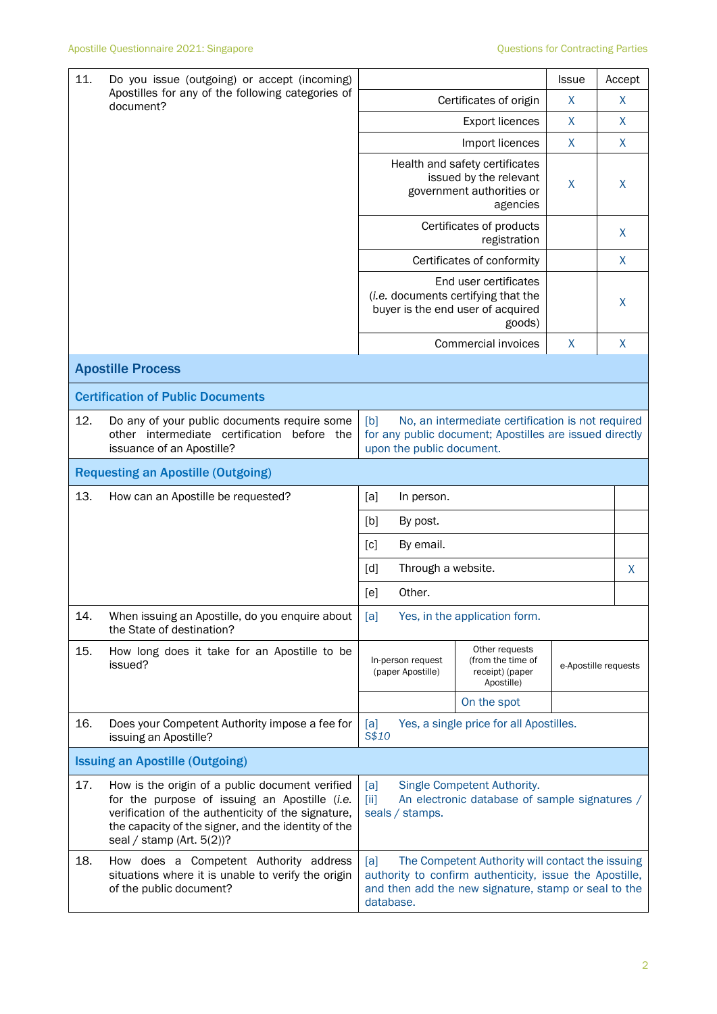| 11.                                                            | Do you issue (outgoing) or accept (incoming)                                                                                                                                                                                                  |                                                                                                                                     |                                                                                                                                                                     | <b>Issue</b> | Accept               |  |
|----------------------------------------------------------------|-----------------------------------------------------------------------------------------------------------------------------------------------------------------------------------------------------------------------------------------------|-------------------------------------------------------------------------------------------------------------------------------------|---------------------------------------------------------------------------------------------------------------------------------------------------------------------|--------------|----------------------|--|
| Apostilles for any of the following categories of<br>document? | Certificates of origin                                                                                                                                                                                                                        | X                                                                                                                                   | X                                                                                                                                                                   |              |                      |  |
|                                                                |                                                                                                                                                                                                                                               |                                                                                                                                     | X                                                                                                                                                                   | X            |                      |  |
|                                                                |                                                                                                                                                                                                                                               |                                                                                                                                     | X                                                                                                                                                                   | $\mathsf{X}$ |                      |  |
|                                                                |                                                                                                                                                                                                                                               |                                                                                                                                     | Health and safety certificates<br>issued by the relevant<br>government authorities or<br>agencies                                                                   |              |                      |  |
|                                                                |                                                                                                                                                                                                                                               | Certificates of products                                                                                                            |                                                                                                                                                                     | $\sf X$      |                      |  |
|                                                                |                                                                                                                                                                                                                                               |                                                                                                                                     | Certificates of conformity                                                                                                                                          |              | $\mathsf{X}$         |  |
|                                                                |                                                                                                                                                                                                                                               |                                                                                                                                     | End user certificates<br>(i.e. documents certifying that the<br>buyer is the end user of acquired<br>goods)                                                         |              | $\sf X$              |  |
|                                                                |                                                                                                                                                                                                                                               |                                                                                                                                     | Commercial invoices                                                                                                                                                 | X            | X                    |  |
|                                                                | <b>Apostille Process</b>                                                                                                                                                                                                                      |                                                                                                                                     |                                                                                                                                                                     |              |                      |  |
|                                                                | <b>Certification of Public Documents</b>                                                                                                                                                                                                      |                                                                                                                                     |                                                                                                                                                                     |              |                      |  |
| 12.                                                            | Do any of your public documents require some<br>other intermediate certification before the<br>issuance of an Apostille?                                                                                                                      | [b]<br>upon the public document.                                                                                                    | No, an intermediate certification is not required<br>for any public document; Apostilles are issued directly                                                        |              |                      |  |
|                                                                | <b>Requesting an Apostille (Outgoing)</b>                                                                                                                                                                                                     |                                                                                                                                     |                                                                                                                                                                     |              |                      |  |
| 13.                                                            | How can an Apostille be requested?                                                                                                                                                                                                            | [a]<br>In person.                                                                                                                   |                                                                                                                                                                     |              |                      |  |
|                                                                |                                                                                                                                                                                                                                               | [b]<br>By post.                                                                                                                     |                                                                                                                                                                     |              |                      |  |
|                                                                |                                                                                                                                                                                                                                               | [c]<br>By email.                                                                                                                    |                                                                                                                                                                     |              |                      |  |
|                                                                |                                                                                                                                                                                                                                               | $\lceil d \rceil$<br>Through a website.                                                                                             |                                                                                                                                                                     |              | X                    |  |
|                                                                |                                                                                                                                                                                                                                               | Other.<br>[e]                                                                                                                       |                                                                                                                                                                     |              |                      |  |
| 14.                                                            | When issuing an Apostille, do you enquire about<br>the State of destination?                                                                                                                                                                  | [a]                                                                                                                                 | Yes, in the application form.                                                                                                                                       |              |                      |  |
| 15.                                                            | How long does it take for an Apostille to be<br>issued?                                                                                                                                                                                       | Other requests<br>In-person request<br>(from the time of<br>(paper Apostille)<br>receipt) (paper<br>Apostille)                      |                                                                                                                                                                     |              | e-Apostille requests |  |
|                                                                |                                                                                                                                                                                                                                               |                                                                                                                                     | On the spot                                                                                                                                                         |              |                      |  |
| 16.                                                            | Does your Competent Authority impose a fee for<br>issuing an Apostille?                                                                                                                                                                       | [a]<br>S\$10                                                                                                                        | Yes, a single price for all Apostilles.                                                                                                                             |              |                      |  |
| <b>Issuing an Apostille (Outgoing)</b>                         |                                                                                                                                                                                                                                               |                                                                                                                                     |                                                                                                                                                                     |              |                      |  |
| 17.                                                            | How is the origin of a public document verified<br>for the purpose of issuing an Apostille (i.e.<br>verification of the authenticity of the signature,<br>the capacity of the signer, and the identity of the<br>seal / stamp (Art. $5(2)$ )? | Single Competent Authority.<br>[a]<br>An electronic database of sample signatures /<br>$\left[\text{iii}\right]$<br>seals / stamps. |                                                                                                                                                                     |              |                      |  |
| 18.                                                            | How does a Competent Authority address<br>situations where it is unable to verify the origin<br>of the public document?                                                                                                                       | [a]<br>database.                                                                                                                    | The Competent Authority will contact the issuing<br>authority to confirm authenticity, issue the Apostille,<br>and then add the new signature, stamp or seal to the |              |                      |  |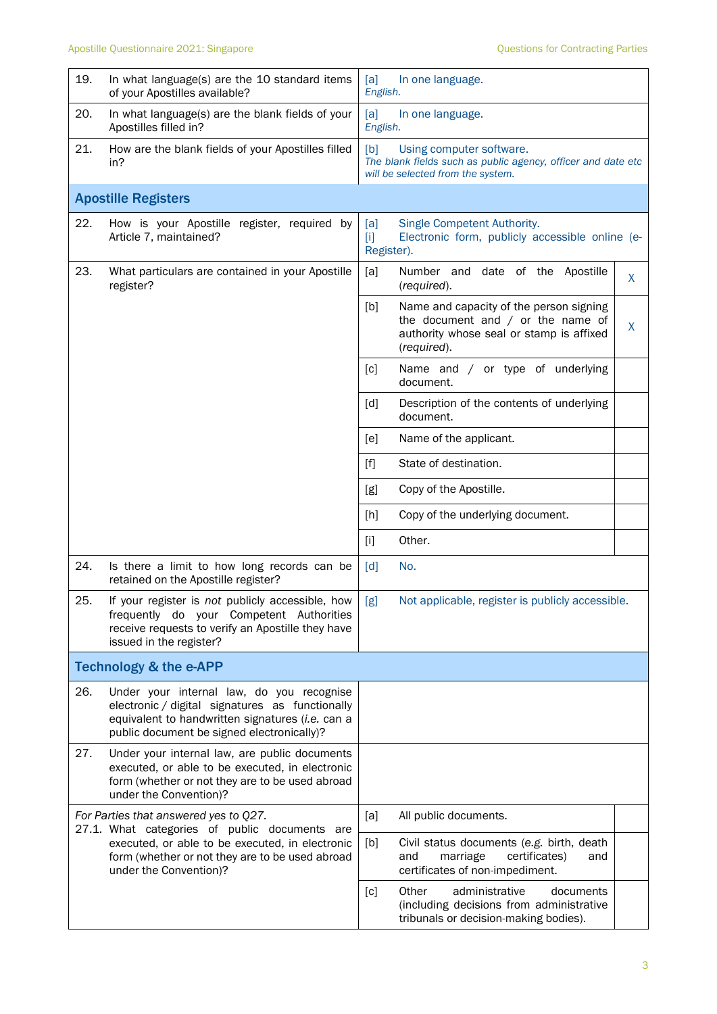| 19. | In what language(s) are the 10 standard items<br>of your Apostilles available?                                                                                                                                         | [a]<br>English.                                                                                                                      | In one language.                                                                                                                          |   |
|-----|------------------------------------------------------------------------------------------------------------------------------------------------------------------------------------------------------------------------|--------------------------------------------------------------------------------------------------------------------------------------|-------------------------------------------------------------------------------------------------------------------------------------------|---|
| 20. | In what language(s) are the blank fields of your<br>Apostilles filled in?                                                                                                                                              | [a]<br>In one language.<br>English.                                                                                                  |                                                                                                                                           |   |
| 21. | How are the blank fields of your Apostilles filled<br>in?                                                                                                                                                              | [b]<br>Using computer software.<br>The blank fields such as public agency, officer and date etc<br>will be selected from the system. |                                                                                                                                           |   |
|     | <b>Apostille Registers</b>                                                                                                                                                                                             |                                                                                                                                      |                                                                                                                                           |   |
| 22. | How is your Apostille register, required by<br>Article 7, maintained?                                                                                                                                                  | [a]<br>Single Competent Authority.<br>Electronic form, publicly accessible online (e-<br>[i]<br>Register).                           |                                                                                                                                           |   |
| 23. | What particulars are contained in your Apostille<br>register?                                                                                                                                                          | [a]                                                                                                                                  | date of the<br>Number and<br>Apostille<br>(required).                                                                                     | X |
|     |                                                                                                                                                                                                                        | [b]                                                                                                                                  | Name and capacity of the person signing<br>the document and $/$ or the name of<br>authority whose seal or stamp is affixed<br>(required). | X |
|     |                                                                                                                                                                                                                        | [c]                                                                                                                                  | Name and / or type of underlying<br>document.                                                                                             |   |
|     |                                                                                                                                                                                                                        | [d]                                                                                                                                  | Description of the contents of underlying<br>document.                                                                                    |   |
|     |                                                                                                                                                                                                                        | [e]                                                                                                                                  | Name of the applicant.                                                                                                                    |   |
|     |                                                                                                                                                                                                                        | $[f]$                                                                                                                                | State of destination.                                                                                                                     |   |
|     |                                                                                                                                                                                                                        | [g]                                                                                                                                  | Copy of the Apostille.                                                                                                                    |   |
|     |                                                                                                                                                                                                                        | [h]                                                                                                                                  | Copy of the underlying document.                                                                                                          |   |
|     |                                                                                                                                                                                                                        | $[1]$                                                                                                                                | Other.                                                                                                                                    |   |
| 24. | Is there a limit to how long records can be<br>retained on the Apostille register?                                                                                                                                     | [d]                                                                                                                                  | No.                                                                                                                                       |   |
| 25. | If your register is not publicly accessible, how<br>frequently do your Competent Authorities<br>receive requests to verify an Apostille they have<br>issued in the register?                                           | [g]                                                                                                                                  | Not applicable, register is publicly accessible.                                                                                          |   |
|     | <b>Technology &amp; the e-APP</b>                                                                                                                                                                                      |                                                                                                                                      |                                                                                                                                           |   |
| 26. | Under your internal law, do you recognise<br>electronic / digital signatures as functionally<br>equivalent to handwritten signatures (i.e. can a<br>public document be signed electronically)?                         |                                                                                                                                      |                                                                                                                                           |   |
| 27. | Under your internal law, are public documents<br>executed, or able to be executed, in electronic<br>form (whether or not they are to be used abroad<br>under the Convention)?                                          |                                                                                                                                      |                                                                                                                                           |   |
|     | For Parties that answered yes to Q27.<br>27.1. What categories of public documents are<br>executed, or able to be executed, in electronic<br>form (whether or not they are to be used abroad<br>under the Convention)? | [a]                                                                                                                                  | All public documents.                                                                                                                     |   |
|     |                                                                                                                                                                                                                        | [b]                                                                                                                                  | Civil status documents (e.g. birth, death<br>certificates)<br>and<br>marriage<br>and<br>certificates of non-impediment.                   |   |
|     |                                                                                                                                                                                                                        | [c]                                                                                                                                  | Other<br>administrative<br>documents<br>(including decisions from administrative<br>tribunals or decision-making bodies).                 |   |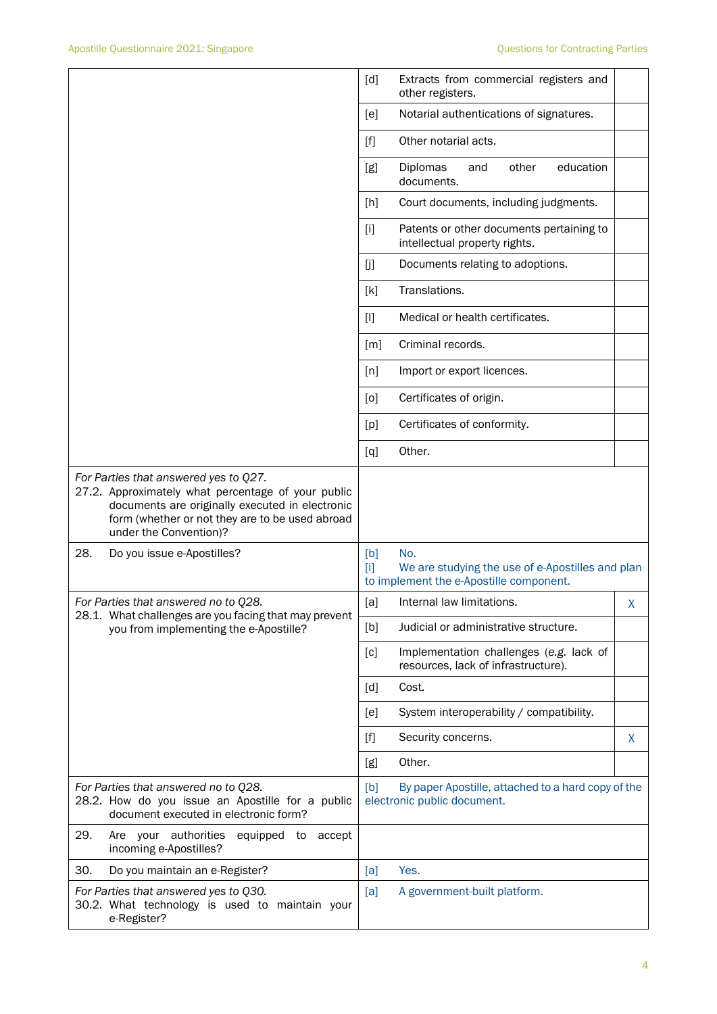|                                                                                                                                                                                                                             | [d]<br>Extracts from commercial registers and<br>other registers.                                                                                                                                                                                                              |
|-----------------------------------------------------------------------------------------------------------------------------------------------------------------------------------------------------------------------------|--------------------------------------------------------------------------------------------------------------------------------------------------------------------------------------------------------------------------------------------------------------------------------|
|                                                                                                                                                                                                                             | Notarial authentications of signatures.<br>[e]                                                                                                                                                                                                                                 |
|                                                                                                                                                                                                                             | Other notarial acts.<br>$[f]$                                                                                                                                                                                                                                                  |
|                                                                                                                                                                                                                             | education<br>[g]<br>Diplomas<br>and<br>other<br>documents.                                                                                                                                                                                                                     |
|                                                                                                                                                                                                                             | [h]<br>Court documents, including judgments.                                                                                                                                                                                                                                   |
|                                                                                                                                                                                                                             | Patents or other documents pertaining to<br>$[1]$<br>intellectual property rights.                                                                                                                                                                                             |
|                                                                                                                                                                                                                             | [j]<br>Documents relating to adoptions.                                                                                                                                                                                                                                        |
|                                                                                                                                                                                                                             | Translations.<br>[k]                                                                                                                                                                                                                                                           |
|                                                                                                                                                                                                                             | Medical or health certificates.<br>$[]$                                                                                                                                                                                                                                        |
|                                                                                                                                                                                                                             | Criminal records.<br>[m]                                                                                                                                                                                                                                                       |
|                                                                                                                                                                                                                             | [n]<br>Import or export licences.                                                                                                                                                                                                                                              |
|                                                                                                                                                                                                                             | Certificates of origin.<br>[0]                                                                                                                                                                                                                                                 |
|                                                                                                                                                                                                                             | Certificates of conformity.<br>[p]                                                                                                                                                                                                                                             |
|                                                                                                                                                                                                                             | Other.<br>[q]                                                                                                                                                                                                                                                                  |
| For Parties that answered yes to Q27.<br>27.2. Approximately what percentage of your public<br>documents are originally executed in electronic<br>form (whether or not they are to be used abroad<br>under the Convention)? |                                                                                                                                                                                                                                                                                |
| 28.<br>Do you issue e-Apostilles?                                                                                                                                                                                           | [b]<br>No.<br>We are studying the use of e-Apostilles and plan<br>ΠI<br>to implement the e-Apostille component.                                                                                                                                                                |
| For Parties that answered no to Q28.<br>28.1. What challenges are you facing that may prevent                                                                                                                               | $[{\sf a}]$<br>Internal law limitations.<br>Χ                                                                                                                                                                                                                                  |
| you from implementing the e-Apostille?                                                                                                                                                                                      | Judicial or administrative structure.<br>[b]                                                                                                                                                                                                                                   |
|                                                                                                                                                                                                                             | [c]<br>Implementation challenges (e.g. lack of<br>resources, lack of infrastructure).                                                                                                                                                                                          |
|                                                                                                                                                                                                                             | Cost.<br>[d]                                                                                                                                                                                                                                                                   |
|                                                                                                                                                                                                                             | System interoperability / compatibility.<br>[e]                                                                                                                                                                                                                                |
|                                                                                                                                                                                                                             | $[f] % \begin{center} % \includegraphics[width=\linewidth]{imagesSupplemental_3.png} % \end{center} % \caption { % Our method can be used for the use of the image. % Note that the \emph{Left:} \label{fig:case} \vspace{-1em} % \label{fig:case}$<br>Security concerns.<br>X |
|                                                                                                                                                                                                                             | Other.<br>[g]                                                                                                                                                                                                                                                                  |
| For Parties that answered no to Q28.<br>28.2. How do you issue an Apostille for a public<br>document executed in electronic form?                                                                                           | [b]<br>By paper Apostille, attached to a hard copy of the<br>electronic public document.                                                                                                                                                                                       |
| 29.<br>Are your authorities equipped to accept<br>incoming e-Apostilles?                                                                                                                                                    |                                                                                                                                                                                                                                                                                |
| 30.<br>Do you maintain an e-Register?                                                                                                                                                                                       | [a]<br>Yes.                                                                                                                                                                                                                                                                    |
| For Parties that answered yes to Q30.<br>30.2. What technology is used to maintain your<br>e-Register?                                                                                                                      | A government-built platform.<br>[a]                                                                                                                                                                                                                                            |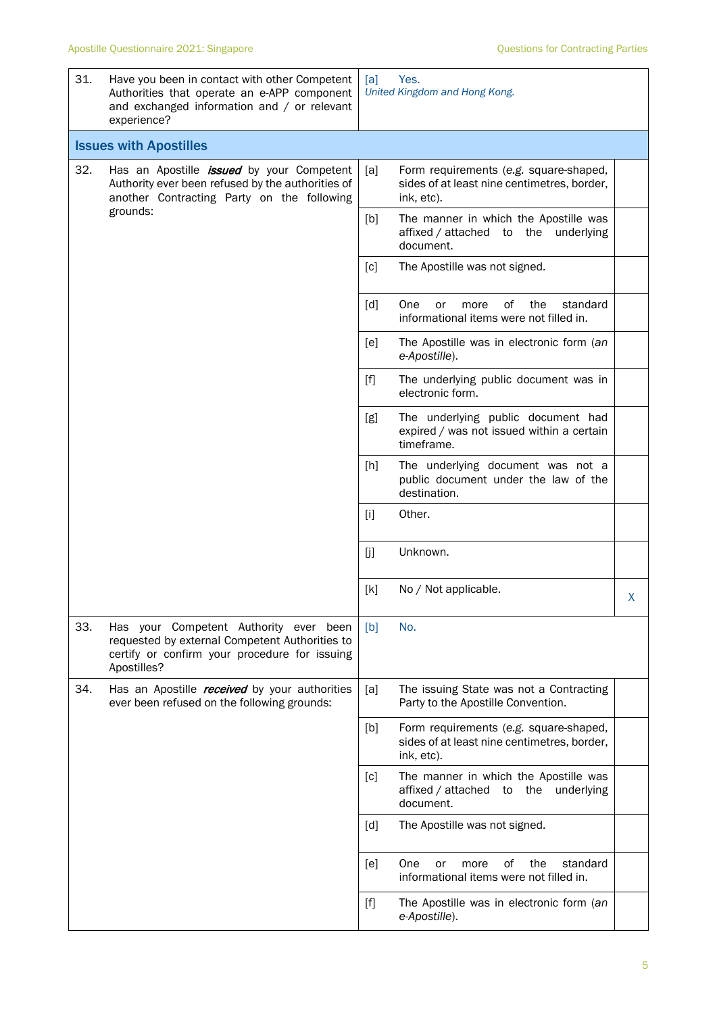| 31. | Have you been in contact with other Competent<br>Authorities that operate an e-APP component<br>and exchanged information and / or relevant<br>experience?      | [a]   | Yes.<br>United Kingdom and Hong Kong.                                                               |   |  |  |
|-----|-----------------------------------------------------------------------------------------------------------------------------------------------------------------|-------|-----------------------------------------------------------------------------------------------------|---|--|--|
|     | <b>Issues with Apostilles</b>                                                                                                                                   |       |                                                                                                     |   |  |  |
| 32. | Has an Apostille <i>issued</i> by your Competent<br>Authority ever been refused by the authorities of<br>another Contracting Party on the following<br>grounds: | [a]   | Form requirements (e.g. square-shaped,<br>sides of at least nine centimetres, border,<br>ink, etc). |   |  |  |
|     |                                                                                                                                                                 | [b]   | The manner in which the Apostille was<br>affixed / attached to the underlying<br>document.          |   |  |  |
|     |                                                                                                                                                                 | [c]   | The Apostille was not signed.                                                                       |   |  |  |
|     |                                                                                                                                                                 | [d]   | 0f<br>the<br>standard<br>One<br>or<br>more<br>informational items were not filled in.               |   |  |  |
|     |                                                                                                                                                                 | [e]   | The Apostille was in electronic form (an<br>e-Apostille).                                           |   |  |  |
|     |                                                                                                                                                                 | $[f]$ | The underlying public document was in<br>electronic form.                                           |   |  |  |
|     |                                                                                                                                                                 | [g]   | The underlying public document had<br>expired / was not issued within a certain<br>timeframe.       |   |  |  |
|     |                                                                                                                                                                 | [h]   | The underlying document was not a<br>public document under the law of the<br>destination.           |   |  |  |
|     |                                                                                                                                                                 | $[1]$ | Other.                                                                                              |   |  |  |
|     |                                                                                                                                                                 | [j]   | Unknown.                                                                                            |   |  |  |
|     |                                                                                                                                                                 | [k]   | No / Not applicable.                                                                                | X |  |  |
| 33. | Has your Competent Authority ever been<br>requested by external Competent Authorities to<br>certify or confirm your procedure for issuing<br>Apostilles?        | [b]   | No.                                                                                                 |   |  |  |
| 34. | Has an Apostille <i>received</i> by your authorities<br>ever been refused on the following grounds:                                                             | [a]   | The issuing State was not a Contracting<br>Party to the Apostille Convention.                       |   |  |  |
|     |                                                                                                                                                                 | [b]   | Form requirements (e.g. square-shaped,<br>sides of at least nine centimetres, border,<br>ink, etc). |   |  |  |
|     |                                                                                                                                                                 | [c]   | The manner in which the Apostille was<br>affixed / attached to<br>the underlying<br>document.       |   |  |  |
|     |                                                                                                                                                                 | [d]   | The Apostille was not signed.                                                                       |   |  |  |
|     |                                                                                                                                                                 | [e]   | One<br>of<br>the<br>more<br>standard<br>or<br>informational items were not filled in.               |   |  |  |
|     |                                                                                                                                                                 | $[f]$ | The Apostille was in electronic form (an<br>e-Apostille).                                           |   |  |  |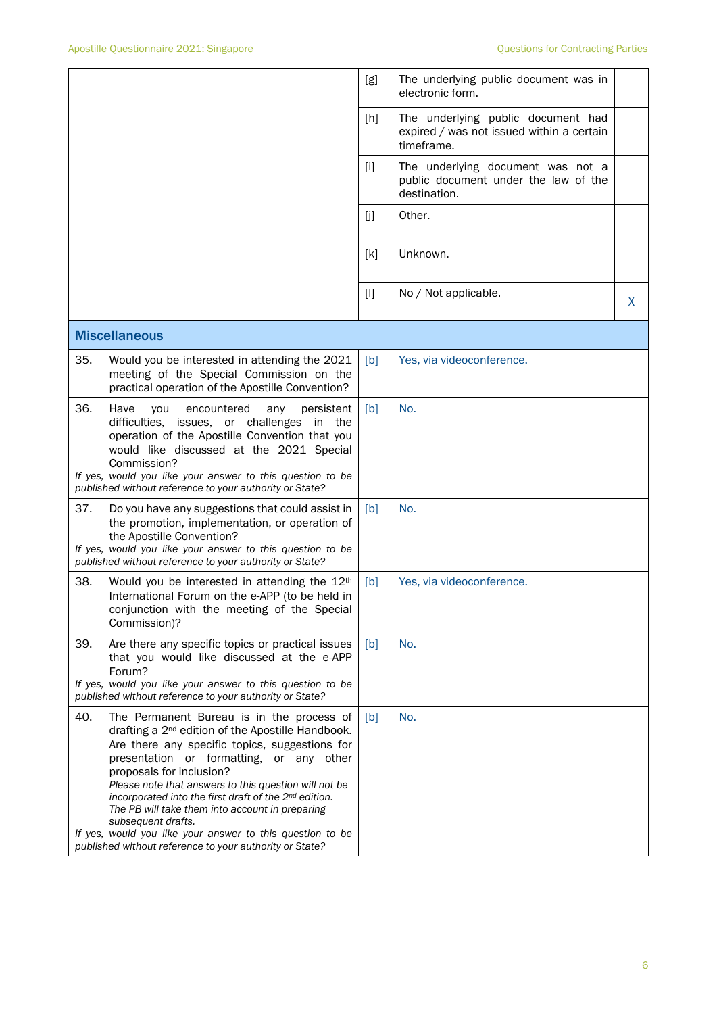|                                                                                                                                                                                                                                                                                                                                                                                                                                                                                                                                                         | The underlying public document was in<br>[g]<br>electronic form.                                       |
|---------------------------------------------------------------------------------------------------------------------------------------------------------------------------------------------------------------------------------------------------------------------------------------------------------------------------------------------------------------------------------------------------------------------------------------------------------------------------------------------------------------------------------------------------------|--------------------------------------------------------------------------------------------------------|
|                                                                                                                                                                                                                                                                                                                                                                                                                                                                                                                                                         | The underlying public document had<br>$[h]$<br>expired / was not issued within a certain<br>timeframe. |
|                                                                                                                                                                                                                                                                                                                                                                                                                                                                                                                                                         | $[1]$<br>The underlying document was not a<br>public document under the law of the<br>destination.     |
|                                                                                                                                                                                                                                                                                                                                                                                                                                                                                                                                                         | Other.<br>[j]                                                                                          |
|                                                                                                                                                                                                                                                                                                                                                                                                                                                                                                                                                         | Unknown.<br>[k]                                                                                        |
|                                                                                                                                                                                                                                                                                                                                                                                                                                                                                                                                                         | $[1]$<br>No / Not applicable.<br>X                                                                     |
| <b>Miscellaneous</b>                                                                                                                                                                                                                                                                                                                                                                                                                                                                                                                                    |                                                                                                        |
| 35.<br>Would you be interested in attending the 2021<br>meeting of the Special Commission on the<br>practical operation of the Apostille Convention?                                                                                                                                                                                                                                                                                                                                                                                                    | Yes, via videoconference.<br>[b]                                                                       |
| 36.<br>Have<br>encountered<br>you<br>any<br>persistent<br>difficulties,<br>issues, or challenges<br>in the<br>operation of the Apostille Convention that you<br>would like discussed at the 2021 Special<br>Commission?<br>If yes, would you like your answer to this question to be                                                                                                                                                                                                                                                                    | No.<br>[b]                                                                                             |
| published without reference to your authority or State?                                                                                                                                                                                                                                                                                                                                                                                                                                                                                                 |                                                                                                        |
| 37.<br>Do you have any suggestions that could assist in<br>the promotion, implementation, or operation of<br>the Apostille Convention?<br>If yes, would you like your answer to this question to be<br>published without reference to your authority or State?                                                                                                                                                                                                                                                                                          | No.<br>[b]                                                                                             |
| 38.<br>Would you be interested in attending the 12 <sup>th</sup><br>International Forum on the e-APP (to be held in<br>conjunction with the meeting of the Special<br>Commission)?                                                                                                                                                                                                                                                                                                                                                                      | [b]<br>Yes, via videoconference.                                                                       |
| 39.<br>Are there any specific topics or practical issues<br>that you would like discussed at the e-APP<br>Forum?<br>If yes, would you like your answer to this question to be                                                                                                                                                                                                                                                                                                                                                                           | [b]<br>No.                                                                                             |
| published without reference to your authority or State?<br>40.                                                                                                                                                                                                                                                                                                                                                                                                                                                                                          | No.                                                                                                    |
| The Permanent Bureau is in the process of<br>drafting a 2 <sup>nd</sup> edition of the Apostille Handbook.<br>Are there any specific topics, suggestions for<br>presentation or formatting, or any other<br>proposals for inclusion?<br>Please note that answers to this question will not be<br>incorporated into the first draft of the 2nd edition.<br>The PB will take them into account in preparing<br>subsequent drafts.<br>If yes, would you like your answer to this question to be<br>published without reference to your authority or State? | [b]                                                                                                    |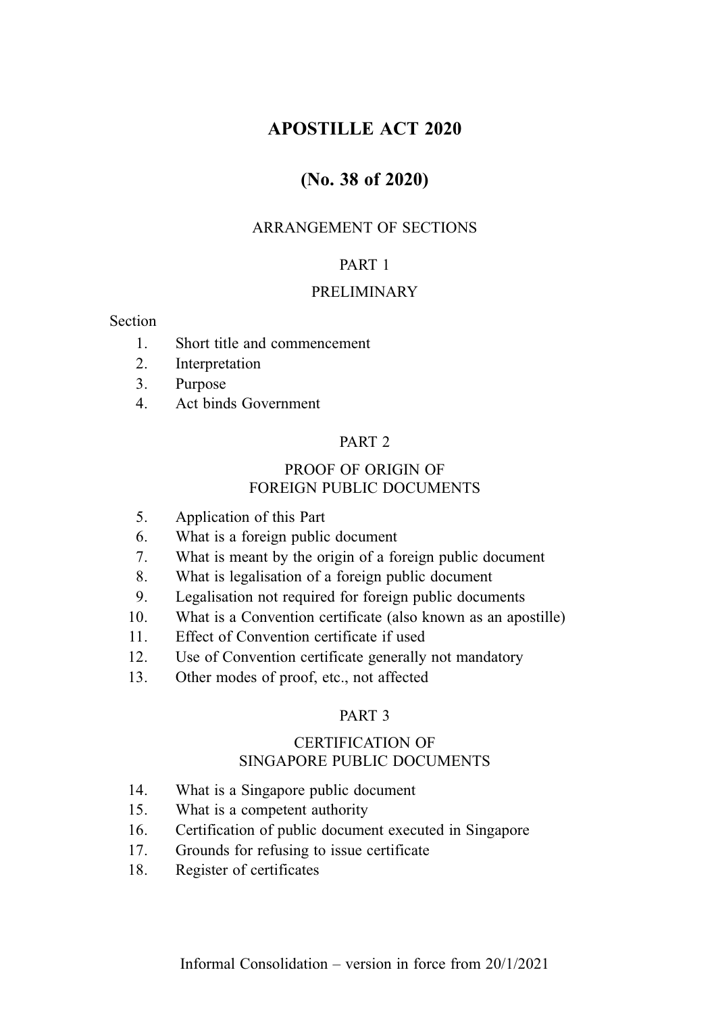## APOSTILLE ACT 2020

## (No. 38 of 2020)

### ARRANGEMENT OF SECTIONS

## PART 1

#### PRELIMINARY

Section

- 1. Short title and commencement
- 2. Interpretation
- 3. Purpose
- 4. Act binds Government

### PART<sub>2</sub>

## PROOF OF ORIGIN OF FOREIGN PUBLIC DOCUMENTS

- 5. Application of this Part
- 6. What is a foreign public document
- 7. What is meant by the origin of a foreign public document
- 8. What is legalisation of a foreign public document
- 9. Legalisation not required for foreign public documents
- 10. What is a Convention certificate (also known as an apostille)
- 11. Effect of Convention certificate if used
- 12. Use of Convention certificate generally not mandatory
- 13. Other modes of proof, etc., not affected

#### PART 3

### CERTIFICATION OF SINGAPORE PUBLIC DOCUMENTS

- 14. What is a Singapore public document
- 15. What is a competent authority
- 16. Certification of public document executed in Singapore
- 17. Grounds for refusing to issue certificate
- 18. Register of certificates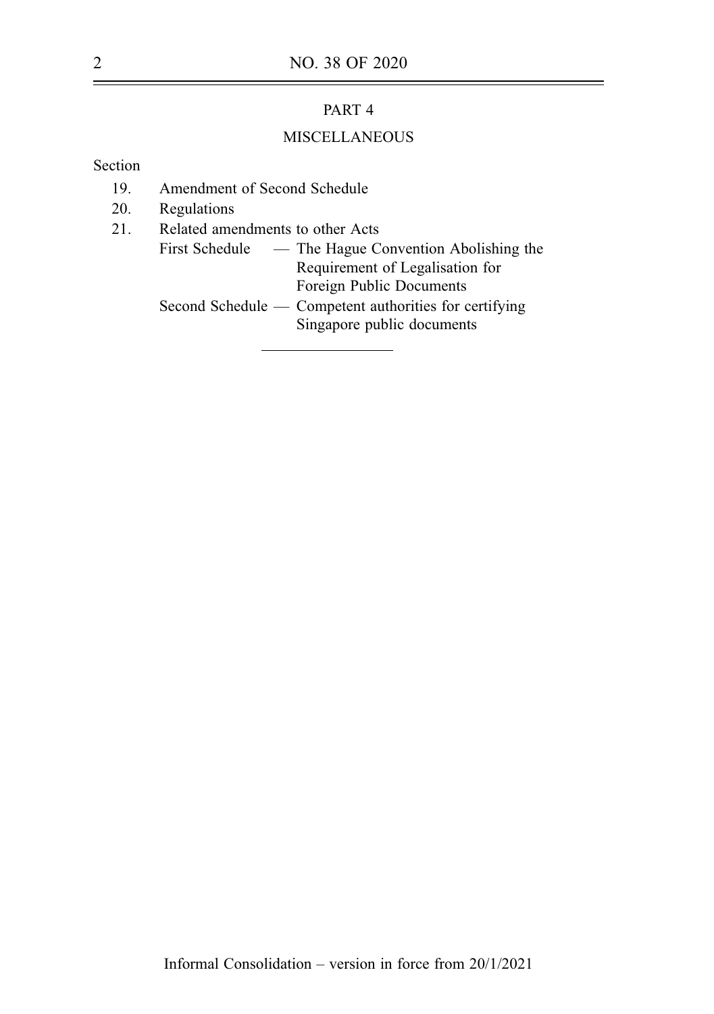## **MISCELLANEOUS**

### Section

- 19. Amendment of Second Schedule
- 20. Regulations
- 21. Related amendments to other Acts
	- First Schedule The Hague Convention Abolishing the Requirement of Legalisation for Foreign Public Documents
	- Second Schedule Competent authorities for certifying Singapore public documents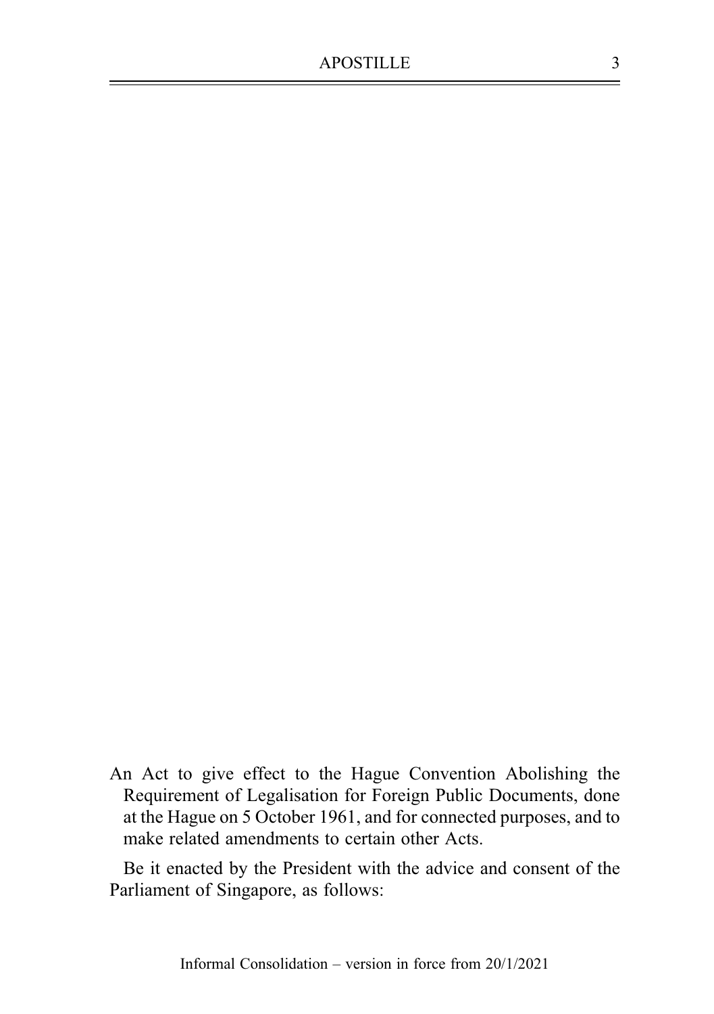An Act to give effect to the Hague Convention Abolishing the Requirement of Legalisation for Foreign Public Documents, done at the Hague on 5 October 1961, and for connected purposes, and to make related amendments to certain other Acts.

Be it enacted by the President with the advice and consent of the Parliament of Singapore, as follows: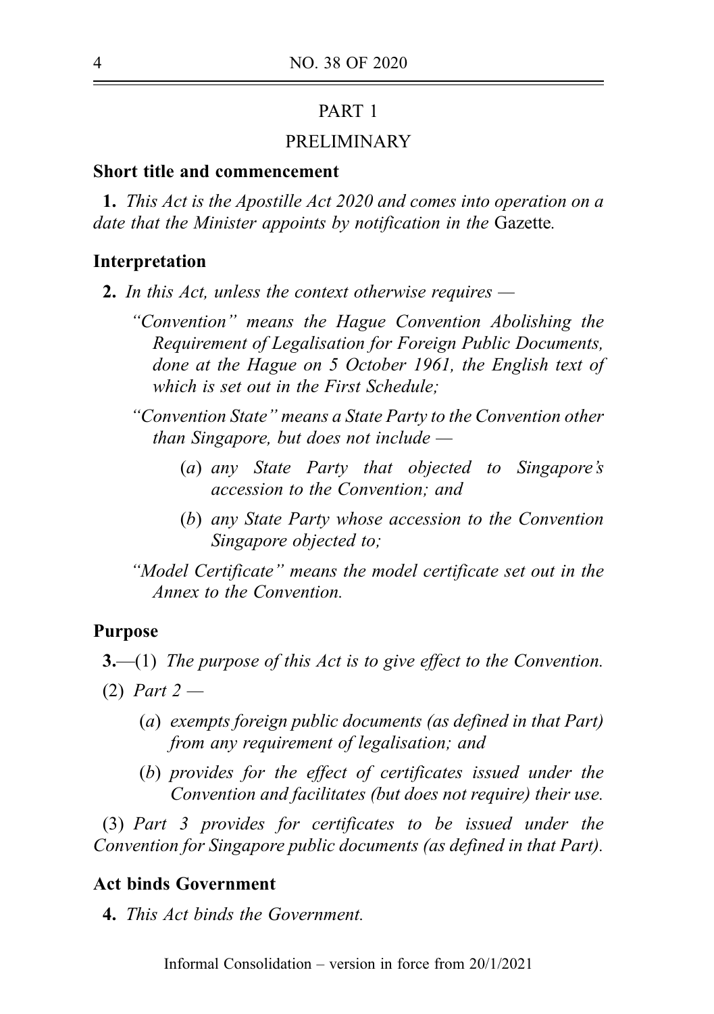## PRELIMINARY

## Short title and commencement

1. This Act is the Apostille Act 2020 and comes into operation on a date that the Minister appoints by notification in the Gazette.

## Interpretation

- **2.** In this Act, unless the context otherwise requires  $-$ 
	- "Convention" means the Hague Convention Abolishing the Requirement of Legalisation for Foreign Public Documents, done at the Hague on 5 October 1961, the English text of which is set out in the First Schedule;

"Convention State" means a State Party to the Convention other than Singapore, but does not include  $-$ 

- (a) any State Party that objected to Singapore's accession to the Convention; and
- (b) any State Party whose accession to the Convention Singapore objected to;

"Model Certificate" means the model certificate set out in the Annex to the Convention.

## Purpose

**3.**—(1) The purpose of this Act is to give effect to the Convention.

- (2) *Part 2* 
	- (a) exempts foreign public documents (as defined in that Part) from any requirement of legalisation; and
	- (b) provides for the effect of certificates issued under the Convention and facilitates (but does not require) their use.

(3) Part 3 provides for certificates to be issued under the Convention for Singapore public documents (as defined in that Part).

## Act binds Government

4. This Act binds the Government.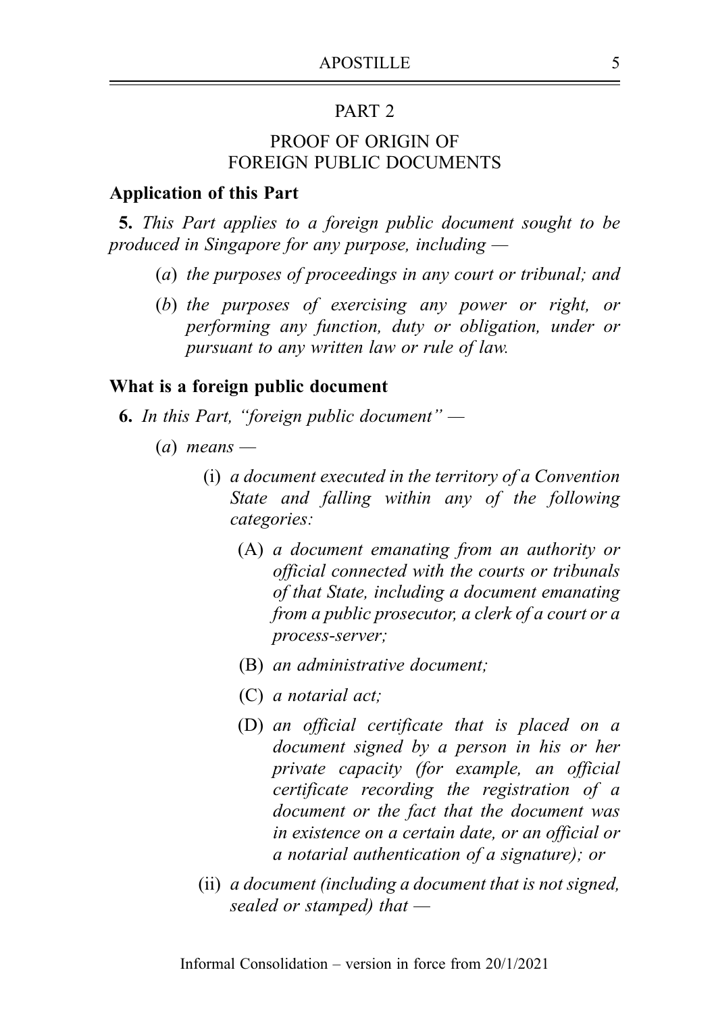## PROOF OF ORIGIN OF FOREIGN PUBLIC DOCUMENTS

### Application of this Part

5. This Part applies to a foreign public document sought to be produced in Singapore for any purpose, including —

- (a) the purposes of proceedings in any court or tribunal; and
- (b) the purposes of exercising any power or right, or performing any function, duty or obligation, under or pursuant to any written law or rule of law.

### What is a foreign public document

**6.** In this Part, "foreign public document"  $-$ 

- $(a)$  means
	- (i) a document executed in the territory of a Convention State and falling within any of the following categories:
		- (A) a document emanating from an authority or official connected with the courts or tribunals of that State, including a document emanating from a public prosecutor, a clerk of a court or a process-server;
		- (B) an administrative document;
		- (C) a notarial act;
		- (D) an official certificate that is placed on a document signed by a person in his or her private capacity (for example, an official certificate recording the registration of a document or the fact that the document was in existence on a certain date, or an official or a notarial authentication of a signature); or
	- (ii) a document (including a document that is not signed, sealed or stamped) that  $-$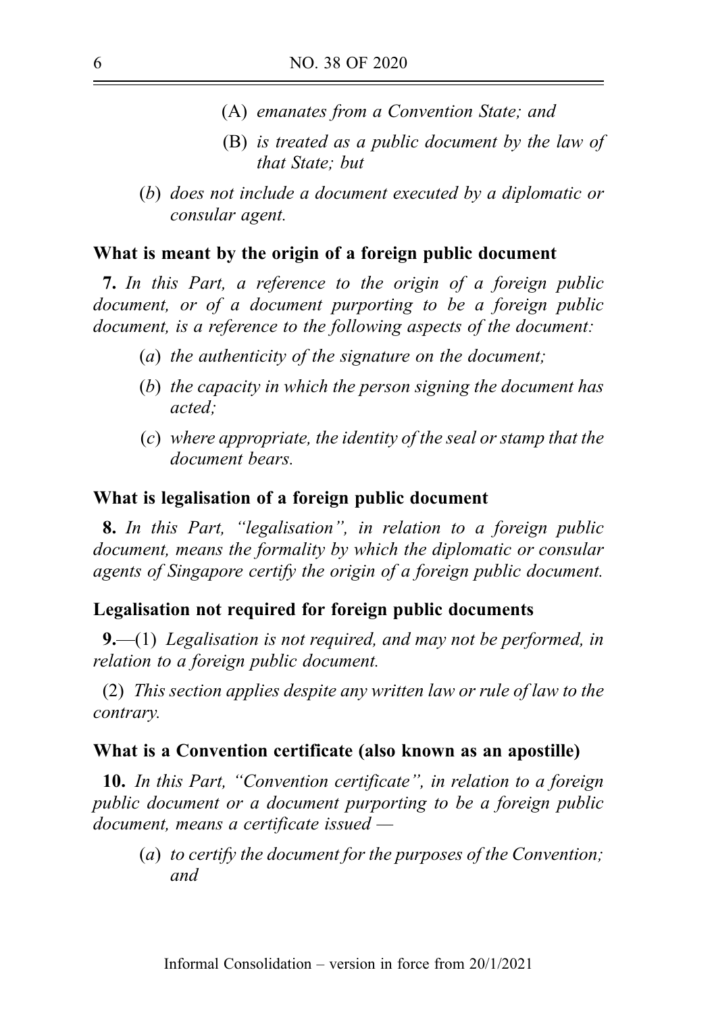- (A) emanates from a Convention State; and
- (B) is treated as a public document by the law of that State; but
- (b) does not include a document executed by a diplomatic or consular agent.

### What is meant by the origin of a foreign public document

7. In this Part, a reference to the origin of a foreign public document, or of a document purporting to be a foreign public document, is a reference to the following aspects of the document:

- (a) the authenticity of the signature on the document;
- (b) the capacity in which the person signing the document has acted;
- (c) where appropriate, the identity of the seal or stamp that the document bears.

#### What is legalisation of a foreign public document

8. In this Part, "legalisation", in relation to a foreign public document, means the formality by which the diplomatic or consular agents of Singapore certify the origin of a foreign public document.

## Legalisation not required for foreign public documents

**9.**—(1) Legalisation is not required, and may not be performed, in relation to a foreign public document.

(2) This section applies despite any written law or rule of law to the contrary.

### What is a Convention certificate (also known as an apostille)

10. In this Part, "Convention certificate", in relation to a foreign public document or a document purporting to be a foreign public document, means a certificate issued —

(a) to certify the document for the purposes of the Convention; and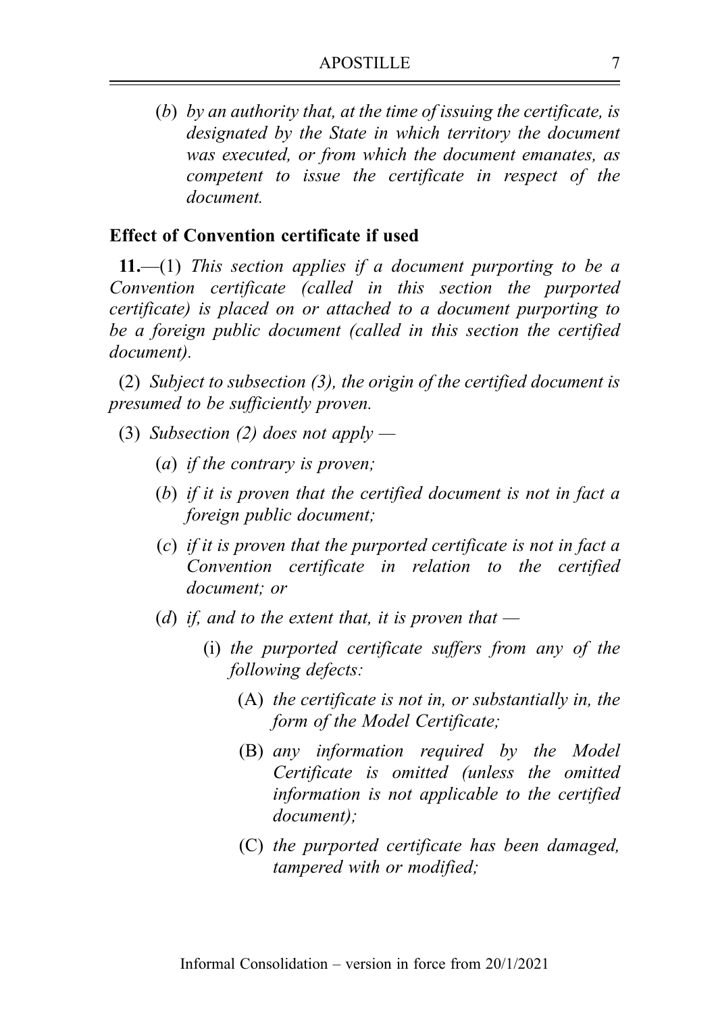(b) by an authority that, at the time of issuing the certificate, is designated by the State in which territory the document was executed, or from which the document emanates, as competent to issue the certificate in respect of the document.

## Effect of Convention certificate if used

11.—(1) This section applies if a document purporting to be a Convention certificate (called in this section the purported certificate) is placed on or attached to a document purporting to be a foreign public document (called in this section the certified document).

(2) Subject to subsection (3), the origin of the certified document is presumed to be sufficiently proven.

- (3) Subsection (2) does not apply
	- (a) if the contrary is proven;
	- (b) if it is proven that the certified document is not in fact a foreign public document;
	- (c) if it is proven that the purported certificate is not in fact a Convention certificate in relation to the certified document; or
	- (d) if, and to the extent that, it is proven that  $-$ 
		- (i) the purported certificate suffers from any of the following defects:
			- (A) the certificate is not in, or substantially in, the form of the Model Certificate;
			- (B) any information required by the Model Certificate is omitted (unless the omitted information is not applicable to the certified document);
			- (C) the purported certificate has been damaged, tampered with or modified;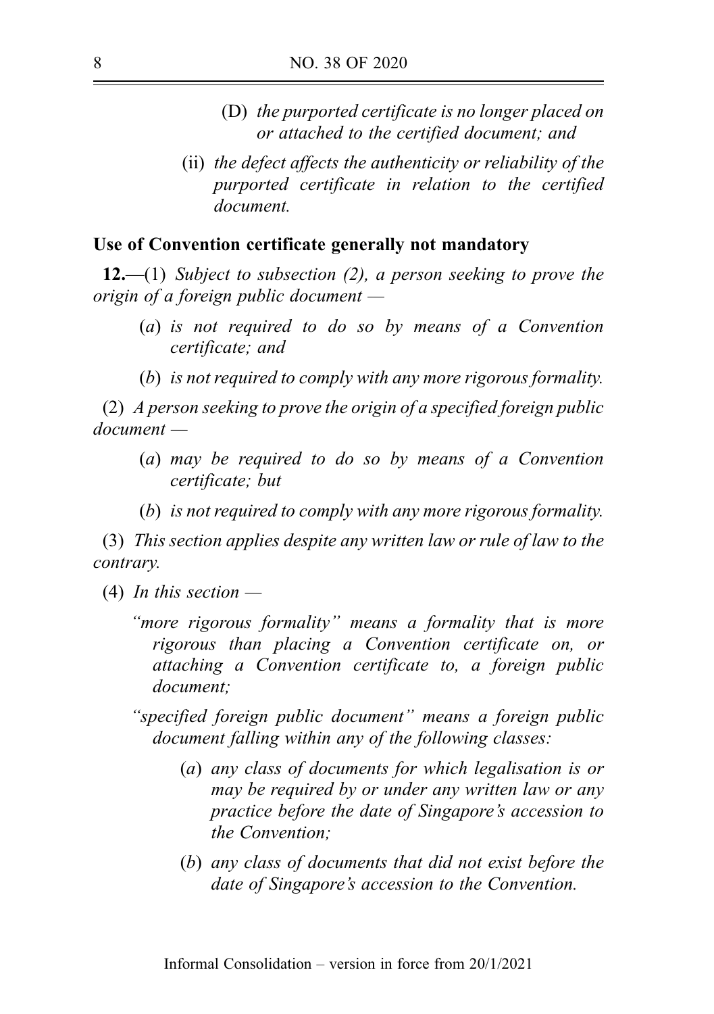- (D) the purported certificate is no longer placed on or attached to the certified document; and
- (ii) the defect affects the authenticity or reliability of the purported certificate in relation to the certified document.

## Use of Convention certificate generally not mandatory

12.—(1) Subject to subsection (2), a person seeking to prove the origin of a foreign public document —

- (a) is not required to do so by means of a Convention certificate; and
- (b) is not required to comply with any more rigorous formality.

(2) A person seeking to prove the origin of a specified foreign public document —

- (a) may be required to do so by means of a Convention certificate; but
- (b) is not required to comply with any more rigorous formality.

(3) This section applies despite any written law or rule of law to the contrary.

- (4) In this section  $-$ 
	- "more rigorous formality" means a formality that is more rigorous than placing a Convention certificate on, or attaching a Convention certificate to, a foreign public document;

"specified foreign public document" means a foreign public document falling within any of the following classes:

- (a) any class of documents for which legalisation is or may be required by or under any written law or any practice before the date of Singapore's accession to the Convention;
- (b) any class of documents that did not exist before the date of Singapore's accession to the Convention.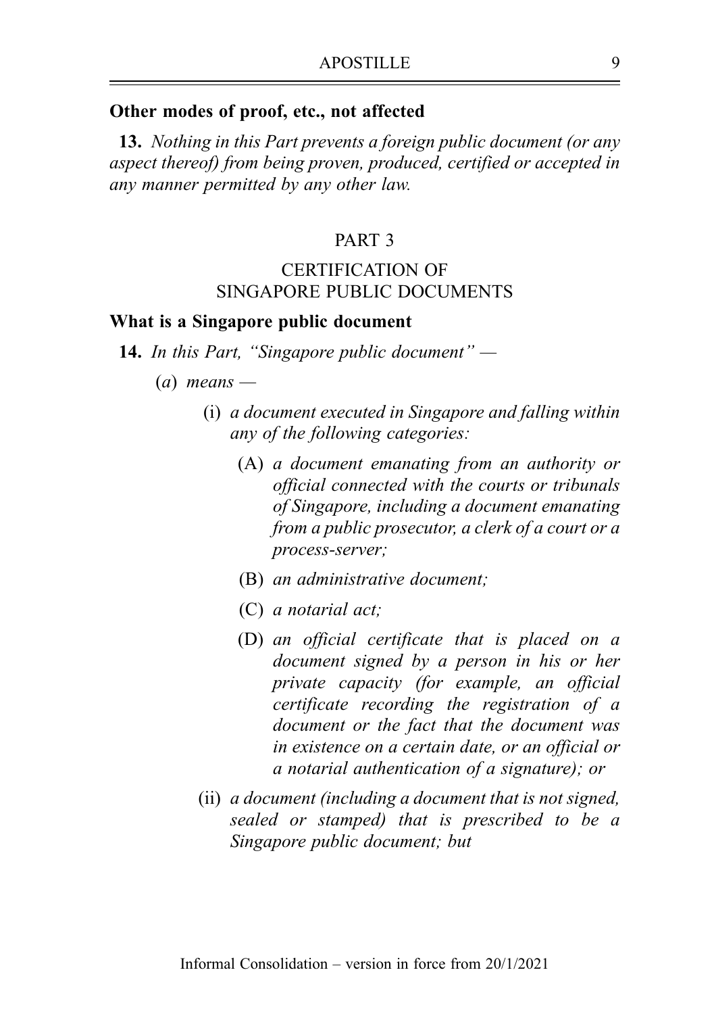## Other modes of proof, etc., not affected

13. Nothing in this Part prevents a foreign public document (or any aspect thereof) from being proven, produced, certified or accepted in any manner permitted by any other law.

## PART 3

## CERTIFICATION OF SINGAPORE PUBLIC DOCUMENTS

### What is a Singapore public document

- **14.** In this Part, "Singapore public document"
	- $(a)$  means
		- (i) a document executed in Singapore and falling within any of the following categories:
			- (A) a document emanating from an authority or official connected with the courts or tribunals of Singapore, including a document emanating from a public prosecutor, a clerk of a court or a process-server;
			- (B) an administrative document;
			- (C) a notarial act;
			- (D) an official certificate that is placed on a document signed by a person in his or her private capacity (for example, an official certificate recording the registration of a document or the fact that the document was in existence on a certain date, or an official or a notarial authentication of a signature); or
		- (ii) a document (including a document that is not signed, sealed or stamped) that is prescribed to be a Singapore public document; but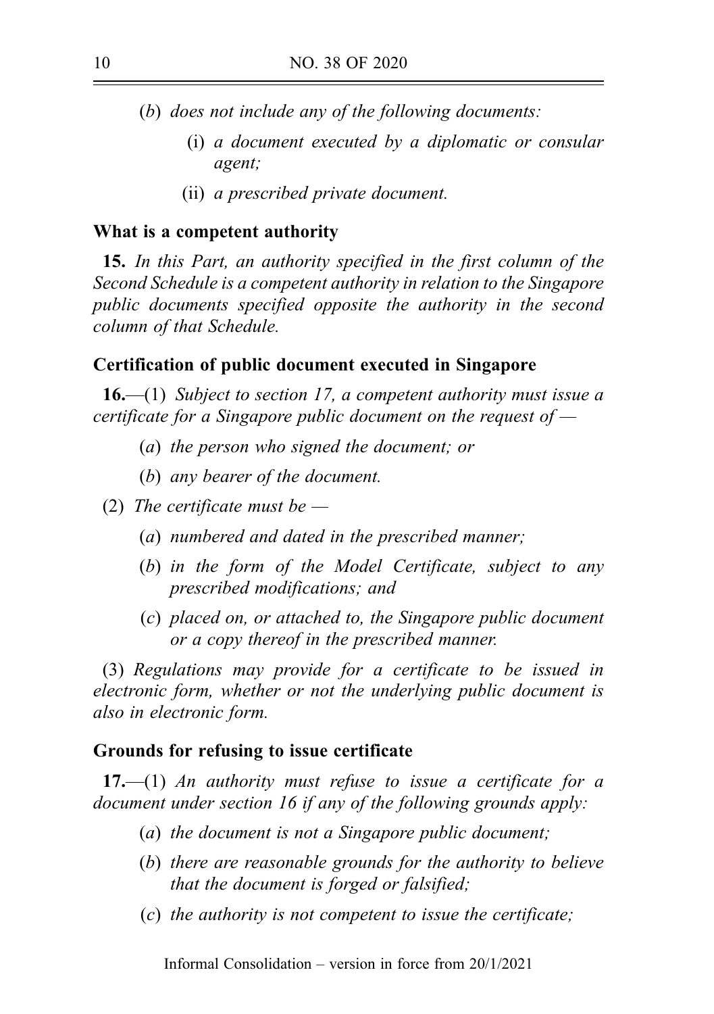- (b) does not include any of the following documents:
	- (i) a document executed by a diplomatic or consular agent;
	- (ii) a prescribed private document.

### What is a competent authority

15. In this Part, an authority specified in the first column of the Second Schedule is a competent authority in relation to the Singapore public documents specified opposite the authority in the second column of that Schedule.

### Certification of public document executed in Singapore

**16.—(1)** Subject to section 17, a competent authority must issue a certificate for a Singapore public document on the request of  $-$ 

- (a) the person who signed the document; or
- (b) any bearer of the document.

(2) The certificate must be  $-$ 

- (a) numbered and dated in the prescribed manner;
- (b) in the form of the Model Certificate, subject to any prescribed modifications; and
- (c) placed on, or attached to, the Singapore public document or a copy thereof in the prescribed manner.

(3) Regulations may provide for a certificate to be issued in electronic form, whether or not the underlying public document is also in electronic form.

## Grounds for refusing to issue certificate

 $17.$ —(1) An authority must refuse to issue a certificate for a document under section 16 if any of the following grounds apply:

- (a) the document is not a Singapore public document;
- (b) there are reasonable grounds for the authority to believe that the document is forged or falsified;
- (c) the authority is not competent to issue the certificate;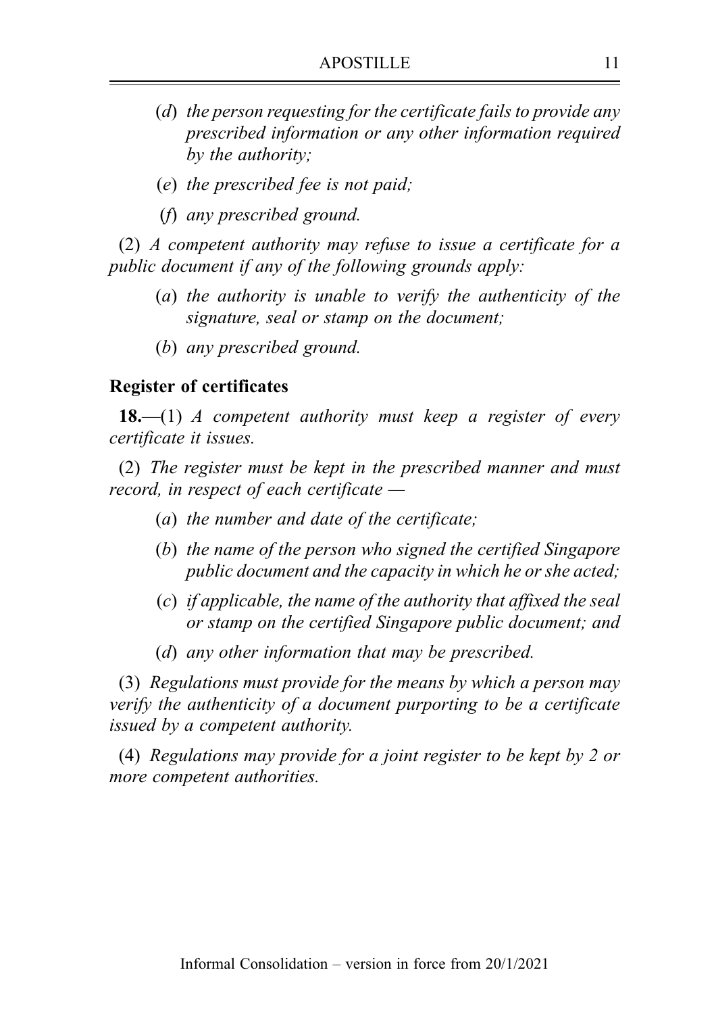- (d) the person requesting for the certificate fails to provide any prescribed information or any other information required by the authority;
- (e) the prescribed fee is not paid;
- (f) any prescribed ground.

(2) A competent authority may refuse to issue a certificate for a public document if any of the following grounds apply:

- (a) the authority is unable to verify the authenticity of the signature, seal or stamp on the document;
- (b) any prescribed ground.

## Register of certificates

**18.**—(1) A competent authority must keep a register of every certificate it issues.

(2) The register must be kept in the prescribed manner and must record, in respect of each certificate —

- (a) the number and date of the certificate;
- (b) the name of the person who signed the certified Singapore public document and the capacity in which he or she acted;
- (c) if applicable, the name of the authority that affixed the seal or stamp on the certified Singapore public document; and
- (d) any other information that may be prescribed.

(3) Regulations must provide for the means by which a person may verify the authenticity of a document purporting to be a certificate issued by a competent authority.

(4) Regulations may provide for a joint register to be kept by 2 or more competent authorities.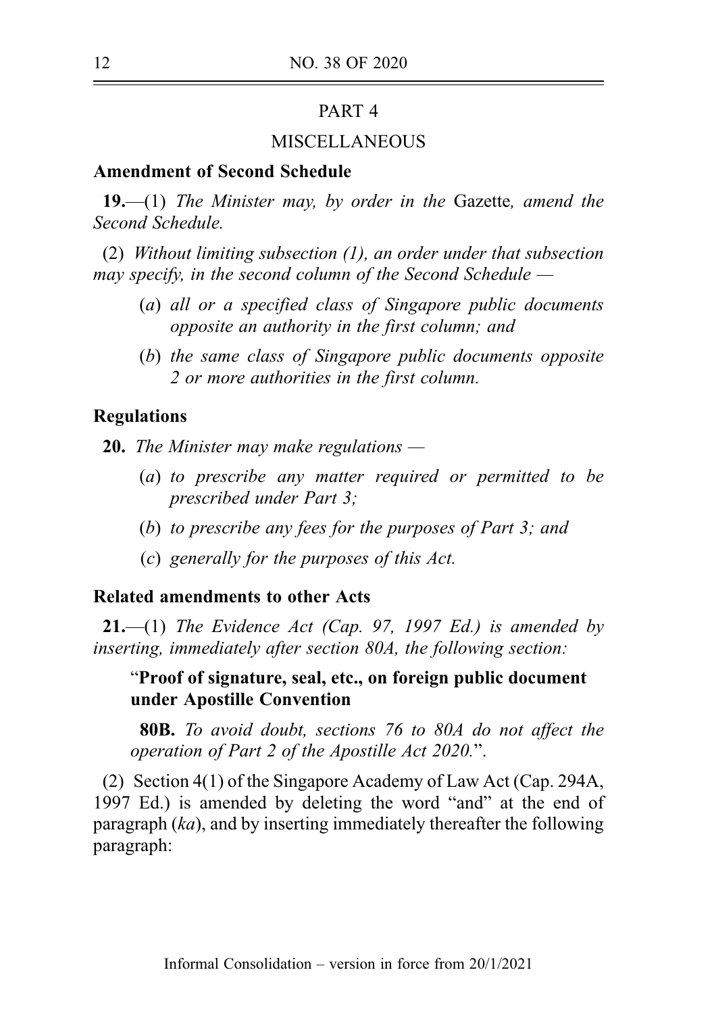## **MISCELLANEOUS**

## Amendment of Second Schedule

19.—(1) The Minister may, by order in the Gazette, amend the Second Schedule.

(2) Without limiting subsection (1), an order under that subsection may specify, in the second column of the Second Schedule  $-$ 

- (a) all or a specified class of Singapore public documents opposite an authority in the first column; and
- (b) the same class of Singapore public documents opposite 2 or more authorities in the first column.

## Regulations

**20.** The Minister may make regulations  $-$ 

- (a) to prescribe any matter required or permitted to be prescribed under Part 3;
- (b) to prescribe any fees for the purposes of Part 3; and
- (c) generally for the purposes of this Act.

## Related amendments to other Acts

**21.**—(1) The Evidence Act (Cap. 97, 1997 Ed.) is amended by inserting, immediately after section 80A, the following section:

## "Proof of signature, seal, etc., on foreign public document under Apostille Convention

80B. To avoid doubt, sections 76 to 80A do not affect the operation of Part 2 of the Apostille Act 2020.".

(2) Section 4(1) of the Singapore Academy of Law Act (Cap. 294A, 1997 Ed.) is amended by deleting the word "and" at the end of paragraph (ka), and by inserting immediately thereafter the following paragraph: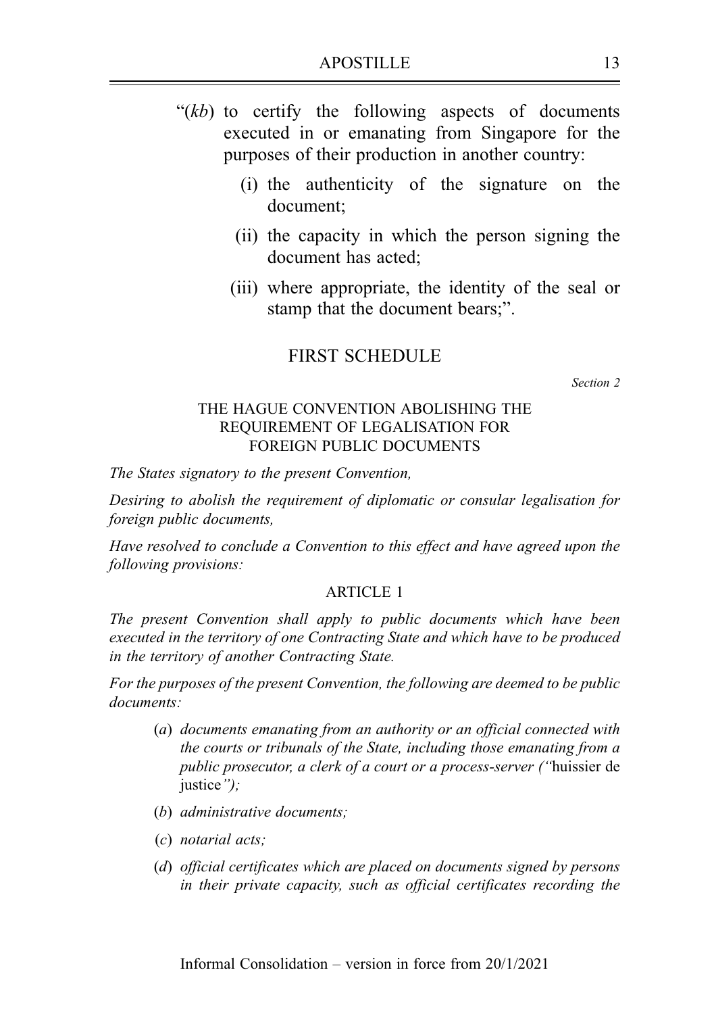- " $(kb)$  to certify the following aspects of documents" executed in or emanating from Singapore for the purposes of their production in another country:
	- (i) the authenticity of the signature on the document;
	- (ii) the capacity in which the person signing the document has acted;
	- (iii) where appropriate, the identity of the seal or stamp that the document bears;".

## FIRST SCHEDULE

Section 2

### THE HAGUE CONVENTION ABOLISHING THE REQUIREMENT OF LEGALISATION FOR FOREIGN PUBLIC DOCUMENTS

The States signatory to the present Convention,

Desiring to abolish the requirement of diplomatic or consular legalisation for foreign public documents,

Have resolved to conclude a Convention to this effect and have agreed upon the following provisions:

## ARTICLE 1

The present Convention shall apply to public documents which have been executed in the territory of one Contracting State and which have to be produced in the territory of another Contracting State.

For the purposes of the present Convention, the following are deemed to be public documents:

- (a) documents emanating from an authority or an official connected with the courts or tribunals of the State, including those emanating from a public prosecutor, a clerk of a court or a process-server ("huissier de justice");
- (b) administrative documents;
- (c) notarial acts;
- (d) official certificates which are placed on documents signed by persons in their private capacity, such as official certificates recording the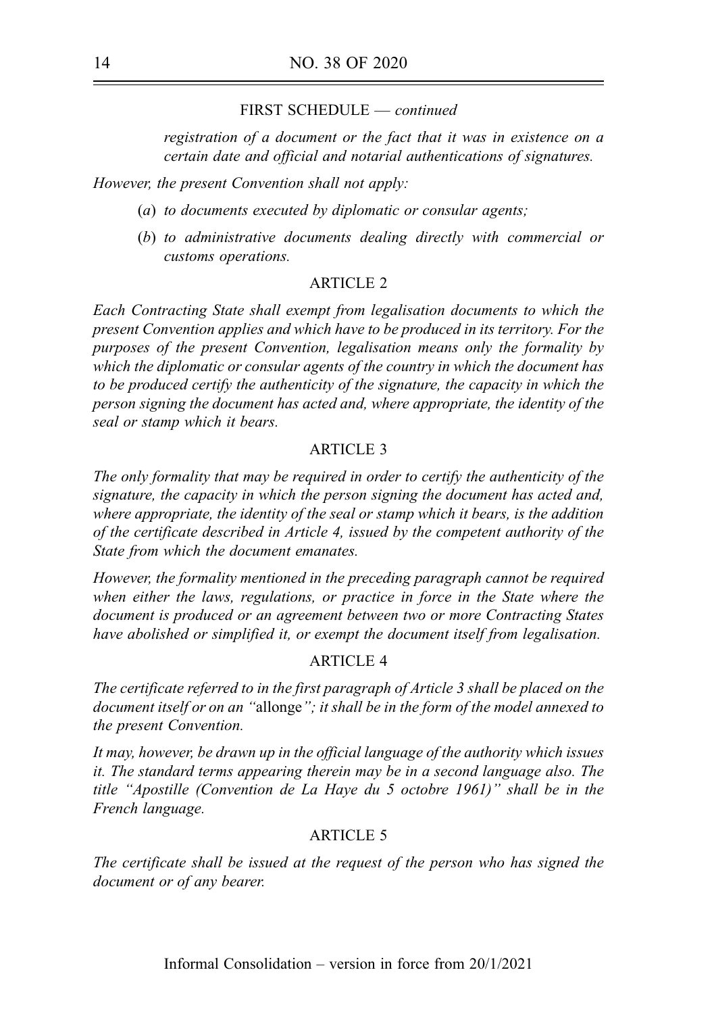registration of a document or the fact that it was in existence on a certain date and official and notarial authentications of signatures.

However, the present Convention shall not apply:

- (a) to documents executed by diplomatic or consular agents;
- (b) to administrative documents dealing directly with commercial or customs operations.

#### ARTICLE 2

Each Contracting State shall exempt from legalisation documents to which the present Convention applies and which have to be produced in its territory. For the purposes of the present Convention, legalisation means only the formality by which the diplomatic or consular agents of the country in which the document has to be produced certify the authenticity of the signature, the capacity in which the person signing the document has acted and, where appropriate, the identity of the seal or stamp which it bears.

#### ARTICLE 3

The only formality that may be required in order to certify the authenticity of the signature, the capacity in which the person signing the document has acted and, where appropriate, the identity of the seal or stamp which it bears, is the addition of the certificate described in Article 4, issued by the competent authority of the State from which the document emanates.

However, the formality mentioned in the preceding paragraph cannot be required when either the laws, regulations, or practice in force in the State where the document is produced or an agreement between two or more Contracting States have abolished or simplified it, or exempt the document itself from legalisation.

#### ARTICLE 4

The certificate referred to in the first paragraph of Article 3 shall be placed on the document itself or on an "allonge"; it shall be in the form of the model annexed to the present Convention.

It may, however, be drawn up in the official language of the authority which issues it. The standard terms appearing therein may be in a second language also. The title "Apostille (Convention de La Haye du 5 octobre 1961)" shall be in the French language.

#### ARTICLE 5

The certificate shall be issued at the request of the person who has signed the document or of any bearer.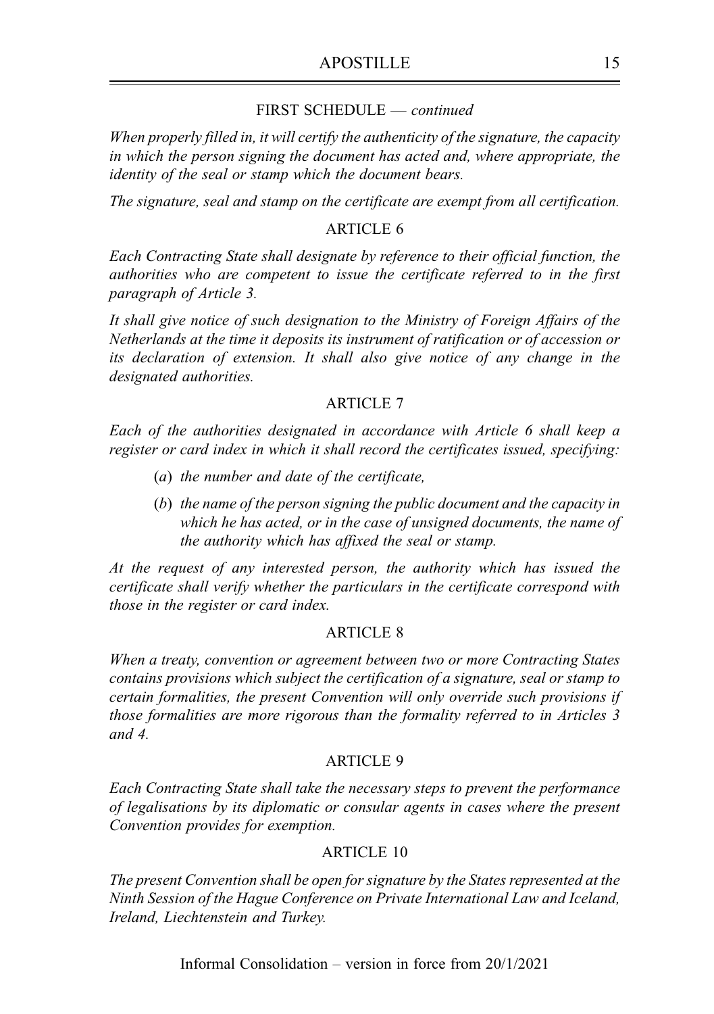When properly filled in, it will certify the authenticity of the signature, the capacity in which the person signing the document has acted and, where appropriate, the identity of the seal or stamp which the document bears.

The signature, seal and stamp on the certificate are exempt from all certification.

### ARTICLE 6

Each Contracting State shall designate by reference to their official function, the authorities who are competent to issue the certificate referred to in the first paragraph of Article 3.

It shall give notice of such designation to the Ministry of Foreign Affairs of the Netherlands at the time it deposits its instrument of ratification or of accession or its declaration of extension. It shall also give notice of any change in the designated authorities.

### ARTICLE 7

Each of the authorities designated in accordance with Article 6 shall keep a register or card index in which it shall record the certificates issued, specifying:

- (a) the number and date of the certificate,
- (b) the name of the person signing the public document and the capacity in which he has acted, or in the case of unsigned documents, the name of the authority which has affixed the seal or stamp.

At the request of any interested person, the authority which has issued the certificate shall verify whether the particulars in the certificate correspond with those in the register or card index.

### ARTICLE 8

When a treaty, convention or agreement between two or more Contracting States contains provisions which subject the certification of a signature, seal or stamp to certain formalities, the present Convention will only override such provisions if those formalities are more rigorous than the formality referred to in Articles 3 and 4.

### ARTICLE 9

Each Contracting State shall take the necessary steps to prevent the performance of legalisations by its diplomatic or consular agents in cases where the present Convention provides for exemption.

### ARTICLE 10

The present Convention shall be open for signature by the States represented at the Ninth Session of the Hague Conference on Private International Law and Iceland, Ireland, Liechtenstein and Turkey.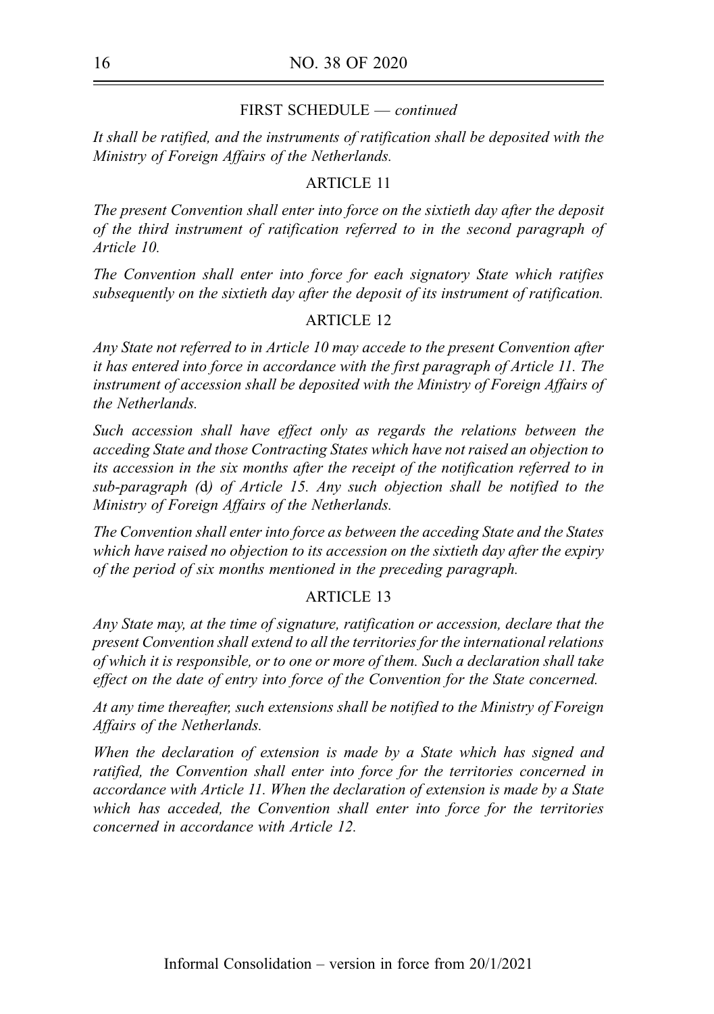It shall be ratified, and the instruments of ratification shall be deposited with the Ministry of Foreign Affairs of the Netherlands.

#### ARTICLE 11

The present Convention shall enter into force on the sixtieth day after the deposit of the third instrument of ratification referred to in the second paragraph of Article 10.

The Convention shall enter into force for each signatory State which ratifies subsequently on the sixtieth day after the deposit of its instrument of ratification.

#### ARTICLE 12

Any State not referred to in Article 10 may accede to the present Convention after it has entered into force in accordance with the first paragraph of Article 11. The instrument of accession shall be deposited with the Ministry of Foreign Affairs of the Netherlands.

Such accession shall have effect only as regards the relations between the acceding State and those Contracting States which have not raised an objection to its accession in the six months after the receipt of the notification referred to in sub-paragraph (d) of Article 15. Any such objection shall be notified to the Ministry of Foreign Affairs of the Netherlands.

The Convention shall enter into force as between the acceding State and the States which have raised no objection to its accession on the sixtieth day after the expiry of the period of six months mentioned in the preceding paragraph.

#### ARTICLE 13

Any State may, at the time of signature, ratification or accession, declare that the present Convention shall extend to all the territories for the international relations of which it is responsible, or to one or more of them. Such a declaration shall take effect on the date of entry into force of the Convention for the State concerned.

At any time thereafter, such extensions shall be notified to the Ministry of Foreign Affairs of the Netherlands.

When the declaration of extension is made by a State which has signed and ratified, the Convention shall enter into force for the territories concerned in accordance with Article 11. When the declaration of extension is made by a State which has acceded, the Convention shall enter into force for the territories concerned in accordance with Article 12.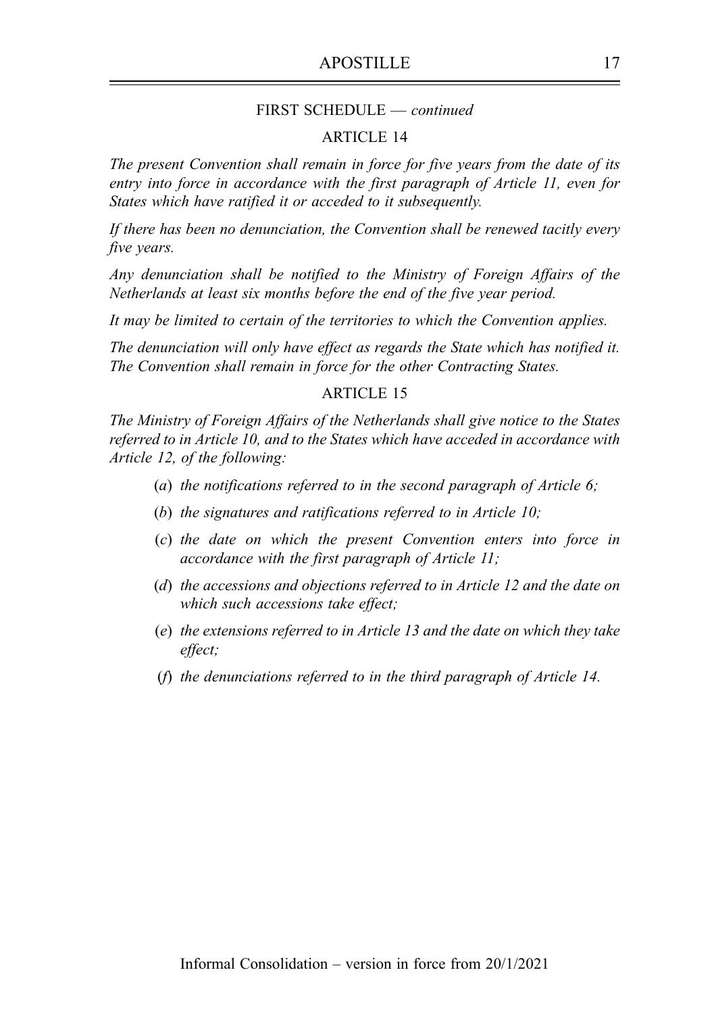#### ARTICLE 14

The present Convention shall remain in force for five years from the date of its entry into force in accordance with the first paragraph of Article 11, even for States which have ratified it or acceded to it subsequently.

If there has been no denunciation, the Convention shall be renewed tacitly every five years.

Any denunciation shall be notified to the Ministry of Foreign Affairs of the Netherlands at least six months before the end of the five year period.

It may be limited to certain of the territories to which the Convention applies.

The denunciation will only have effect as regards the State which has notified it. The Convention shall remain in force for the other Contracting States.

#### ARTICLE 15

The Ministry of Foreign Affairs of the Netherlands shall give notice to the States referred to in Article 10, and to the States which have acceded in accordance with Article 12, of the following:

- (a) the notifications referred to in the second paragraph of Article  $6$ ;
- (b) the signatures and ratifications referred to in Article 10;
- (c) the date on which the present Convention enters into force in accordance with the first paragraph of Article 11;
- (d) the accessions and objections referred to in Article 12 and the date on which such accessions take effect;
- (e) the extensions referred to in Article 13 and the date on which they take effect;
- (f) the denunciations referred to in the third paragraph of Article 14.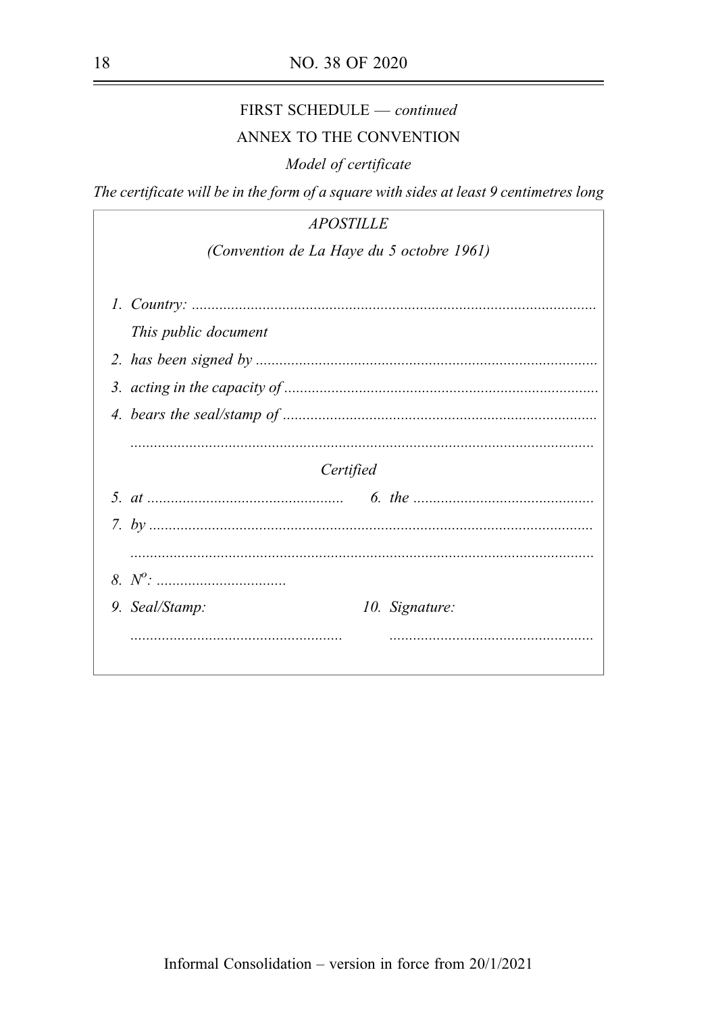### ANNEX TO THE CONVENTION

Model of certificate

The certificate will be in the form of a square with sides at least 9 centimetres long

## **APOSTILLE**

(Convention de La Haye du 5 octobre 1961)

|  | This public document |  |                |  |
|--|----------------------|--|----------------|--|
|  |                      |  |                |  |
|  |                      |  |                |  |
|  |                      |  |                |  |
|  |                      |  |                |  |
|  | Certified            |  |                |  |
|  |                      |  |                |  |
|  |                      |  |                |  |
|  |                      |  |                |  |
|  |                      |  |                |  |
|  | 9. Seal/Stamp:       |  | 10. Signature: |  |
|  |                      |  |                |  |
|  |                      |  |                |  |